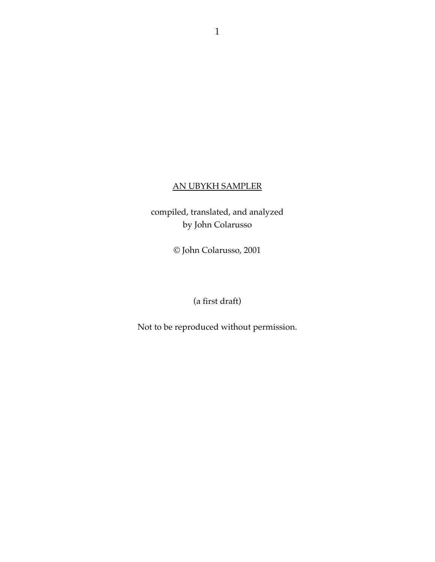### AN UBYKH SAMPLER

compiled, translated, and analyzed by John Colarusso

© John Colarusso, 2001

(a first draft)

Not to be reproduced without permission.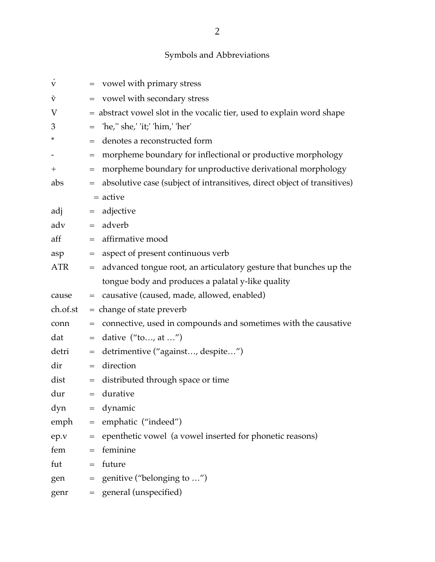# Symbols and Abbreviations

| V          |                                              | = vowel with primary stress                                              |
|------------|----------------------------------------------|--------------------------------------------------------------------------|
| V          |                                              | vowel with secondary stress                                              |
| V          |                                              | = abstract vowel slot in the vocalic tier, used to explain word shape    |
| 3          | $\displaystyle \qquad \qquad =\qquad \qquad$ | 'he,'' she,' 'it;' 'him,' 'her'                                          |
| *          | $=$                                          | denotes a reconstructed form                                             |
|            | $=$                                          | morpheme boundary for inflectional or productive morphology              |
| $^{+}$     | $=$                                          | morpheme boundary for unproductive derivational morphology               |
| abs        | $\qquad \qquad =$                            | absolutive case (subject of intransitives, direct object of transitives) |
|            |                                              | = active                                                                 |
| adj        | $\displaystyle \qquad \qquad =\qquad \qquad$ | adjective                                                                |
| adv        |                                              | $=$ adverb                                                               |
| aff        |                                              | $=$ affirmative mood                                                     |
| asp        | $\hspace{1.6cm} = \hspace{1.6cm}$            | aspect of present continuous verb                                        |
| <b>ATR</b> |                                              | = advanced tongue root, an articulatory gesture that bunches up the      |
|            |                                              | tongue body and produces a palatal y-like quality                        |
|            |                                              |                                                                          |
| cause      |                                              | = causative (caused, made, allowed, enabled)                             |
| ch.of.st   |                                              | $=$ change of state preverb                                              |
| conn       | $=$                                          | connective, used in compounds and sometimes with the causative           |
| dat        | $=$                                          | dative $("to, at")$                                                      |
| detri      | $\!\!\!=\!\!\!\!$                            | detrimentive ("against, despite")                                        |
| dir        | $\!\!\!=\!\!\!$                              | direction                                                                |
| dist       | $\hspace*{0.4em} = \hspace*{0.4em}$          | distributed through space or time                                        |
| dur        |                                              | $=$ durative                                                             |
| dyn        |                                              | $=$ dynamic                                                              |
| emph       | $\hspace{1.6cm} = \hspace{1.6cm}$            | emphatic ("indeed")                                                      |
| ep.v       |                                              | = epenthetic vowel (a vowel inserted for phonetic reasons)               |
| fem        | $=$                                          | feminine                                                                 |
| fut        |                                              | $=$ future                                                               |
| gen        |                                              | $=$ genitive ("belonging to ")                                           |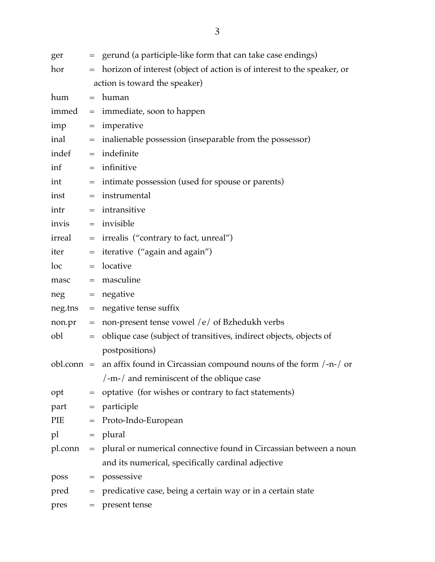| ger              |                                   | = gerund (a participle-like form that can take case endings)                       |
|------------------|-----------------------------------|------------------------------------------------------------------------------------|
| hor              |                                   | = horizon of interest (object of action is of interest to the speaker, or          |
|                  |                                   | action is toward the speaker)                                                      |
| hum              |                                   | $=$ human                                                                          |
|                  |                                   | $immed$ = $immediate$ , soon to happen                                             |
| imp              |                                   | $=$ imperative                                                                     |
| inal             |                                   | = inalienable possession (inseparable from the possessor)                          |
| indef            |                                   | $=$ indefinite                                                                     |
| inf              |                                   | $=$ infinitive                                                                     |
| int              | $\hspace{1.6cm} = \hspace{1.6cm}$ | intimate possession (used for spouse or parents)                                   |
| inst             |                                   | $=$ instrumental                                                                   |
| intr             | $=$                               | intransitive                                                                       |
| invis            |                                   | $=$ invisible                                                                      |
| irreal           |                                   | = irrealis ("contrary to fact, unreal")                                            |
| iter             | $\hspace{1.6cm} = \hspace{1.6cm}$ | iterative ("again and again")                                                      |
| $loc$ and $\sim$ |                                   | $=$ locative                                                                       |
| masc             |                                   | $=$ masculine                                                                      |
| $neg = negative$ |                                   |                                                                                    |
|                  |                                   | neg.tns = negative tense suffix                                                    |
| $non.pr =$       |                                   | non-present tense vowel /e/ of Bzhedukh verbs                                      |
| obl              | $\equiv$ .                        | oblique case (subject of transitives, indirect objects, objects of                 |
|                  |                                   | postpositions)                                                                     |
|                  |                                   | obl.conn = an affix found in Circassian compound nouns of the form $/ -n$ - $/$ or |
|                  |                                   | /-m-/ and reminiscent of the oblique case                                          |
| opt              | $\hspace{1.6cm} = \hspace{1.6cm}$ | optative (for wishes or contrary to fact statements)                               |
|                  |                                   | $part = particle$                                                                  |
| PIE              | $\hspace{1.6cm} = \hspace{1.6cm}$ | Proto-Indo-European                                                                |
| pl               |                                   | $=$ plural                                                                         |
|                  |                                   | pl.conn = plural or numerical connective found in Circassian between a noun        |
|                  |                                   | and its numerical, specifically cardinal adjective                                 |
| poss             |                                   | $=$ possessive                                                                     |
| pred             | $\qquad \qquad =$                 | predicative case, being a certain way or in a certain state                        |
| pres             | $=$                               | present tense                                                                      |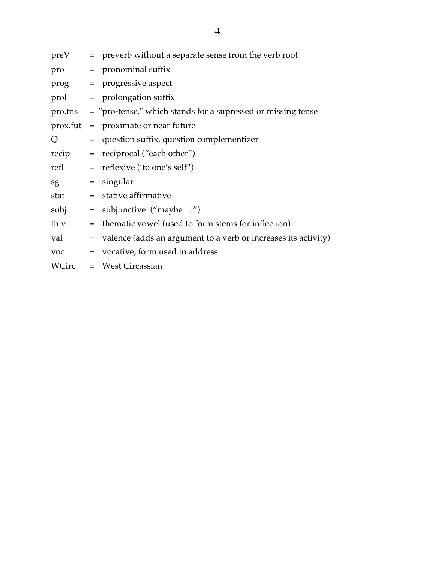| preV       | $=$ preverb without a separate sense from the verb root              |
|------------|----------------------------------------------------------------------|
| pro        | $=$ pronominal suffix                                                |
|            | prog = progressive aspect                                            |
| prol       | $=$ prolongation suffix                                              |
|            | pro.tns = "pro-tense," which stands for a supressed or missing tense |
| prox.fut   | $=$ proximate or near future                                         |
| Q          | = question suffix, question complementizer                           |
| recip      | $=$ reciprocal ("each other")                                        |
| refl       | $=$ reflexive ('to one's self")                                      |
| sg         | $=$ singular                                                         |
| stat       | $=$ stative affirmative                                              |
| subj       | $=$ subjunctive ("maybe ")                                           |
| th.v.      | $=$ thematic vowel (used to form stems for inflection)               |
| val        | $=$ valence (adds an argument to a verb or increases its activity)   |
| <b>VOC</b> | = vocative, form used in address                                     |
| WCirc      | $=$ West Circassian                                                  |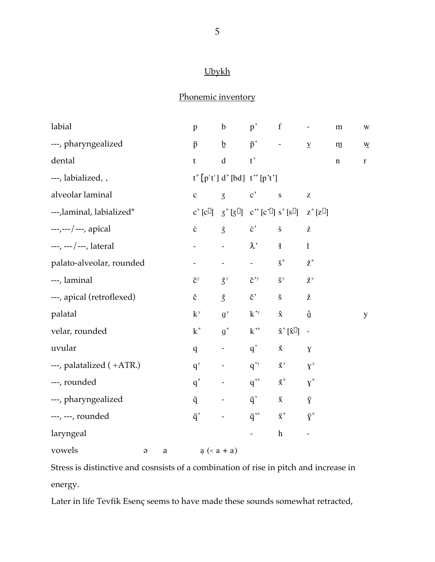# Ubykh

# Phonemic inventory

| labial                           |  | $\mathbf{p}$           | $\mathbf b$                                                                                     | p'                                       | $\mathbf f$                                            | $\blacksquare$                                        | ${\bf m}$   | $\ensuremath{\text{W}}$  |
|----------------------------------|--|------------------------|-------------------------------------------------------------------------------------------------|------------------------------------------|--------------------------------------------------------|-------------------------------------------------------|-------------|--------------------------|
| ---, pharyngealized              |  | $\bar{p}$              | $\underline{b}$                                                                                 | $\bar{p}$                                | $\sigma_{\rm{max}}$                                    | $\underline{\mathbf{V}}$                              | ${\bf m}$   | $\underline{\mathbf{W}}$ |
| dental                           |  | $\mathbf t$            | $\mathrm{d}% \left\  \mathcal{H}\right\  _{A}$                                                  | $t$ ,                                    |                                                        |                                                       | $\mathbf n$ | $\bf r$                  |
| ---, labialized, ,               |  |                        | $t^{\circ} [p^{\prime} t^{\prime}] d^{\circ} [bd] t^{\prime \circ} [p^{\prime} t^{\prime}]$     |                                          |                                                        |                                                       |             |                          |
| alveolar laminal<br>$\mathbf{C}$ |  |                        | $\overline{3}$                                                                                  | $\mathbf{c}^{\prime}$                    | $\mathbf S$                                            | $\mathbf{Z}% ^{T}=\mathbf{Z}^{T}\times\mathbf{Z}^{T}$ |             |                          |
| ---,laminal, labialized*         |  |                        | $c^{\circ}[c^{\phi}]$ $\zeta^{\circ}[3^{\beta}]$ $c^{\circ}$ $[c^{\phi}]$ $s^{\circ}[s^{\phi}]$ |                                          |                                                        | $z^{\circ}[z^{\beta}]$                                |             |                          |
| $---/---$ , apical               |  | $\dot{\text{c}}$       | $\dot{3}$                                                                                       | $\dot{c}$ ,                              | $\dot{\textbf{S}}$                                     | $\dot{\rm Z}$                                         |             |                          |
| $---, ---, lateral$              |  |                        |                                                                                                 | $\lambda$ <sup>,</sup>                   | $\mathbf{I}$                                           | $\mathbf{l}$                                          |             |                          |
| palato-alveolar, rounded         |  |                        | $\omega_{\rm{max}}$ and $\omega_{\rm{max}}$                                                     | $\omega_{\rm{max}}$                      | $\check{\mathbf{S}}^{\circ}$                           | ž°                                                    |             |                          |
| ---, laminal                     |  | $\check{c}^y$          | $\check{S}^y$                                                                                   |                                          | $\check{c}^{\prime y}$ $\check{S}^y$                   | $\check{z}^y$                                         |             |                          |
| ---, apical (retroflexed)        |  | $\check{\rm c}$        | $\check{3}$                                                                                     | $\check{\mathbf{c}}$                     | $\check{\mathbf{S}}$                                   | ž                                                     |             |                          |
| palatal                          |  | $k^y$                  | g <sup>y</sup>                                                                                  | $k^{\prime y}$                           | $\boldsymbol{\hat{\textbf{X}}}$                        | $\hat{g}$                                             |             | y                        |
| velar, rounded                   |  | $k^{\circ}$            | $g^{\circ}$                                                                                     | $k^{\prime\circ}$                        | $\hat{\mathbf{X}}^{\circ}$ $[\hat{\mathbf{X}}^{\phi}]$ | $\overline{a}$                                        |             |                          |
| uvular                           |  | $\overline{q}$         | $\frac{1}{\sqrt{2}}$                                                                            | $q^{\prime}$                             | Ř                                                      | $\mathbf{Y}$                                          |             |                          |
| ---, palatalized (+ATR.)         |  | $q^{y}$                | $\sigma_{\rm{max}}$                                                                             | $q^{\prime y}$                           | $\check{X}^y$                                          | $X^y$                                                 |             |                          |
| ---, rounded                     |  | $q^{\circ}$            | $\frac{1}{2} \left( \frac{1}{2} \right)$ , $\frac{1}{2} \left( \frac{1}{2} \right)$             | $q^{\prime\circ}$                        | $\mathsf{\check{X}}^\circ$                             | $\gamma^{\circ}$                                      |             |                          |
| ---, pharyngealized              |  | $\overline{q}$         | $\omega_{\rm{max}}$ and $\omega_{\rm{max}}$                                                     | $\bar{q}'$                               | $\overline{\textbf{X}}$                                | $\bar{\text{Y}}$                                      |             |                          |
| ---, ---, rounded                |  | $\overline{q}^{\circ}$ |                                                                                                 | $\bar{q}$ <sup>,<math>\circ</math></sup> | $\bar{x}^{\circ}$ $\bar{y}^{\circ}$                    |                                                       |             |                          |
| laryngeal                        |  |                        |                                                                                                 |                                          | $\boldsymbol{\mathrm{h}}$                              | $\blacksquare$                                        |             |                          |
| vowels<br>a<br>$\Theta$          |  |                        | $a (=a + a)$                                                                                    |                                          |                                                        |                                                       |             |                          |

Stress is distinctive and cosnsists of a combination of rise in pitch and increase in energy.

Later in life Tevfik Esenç seems to have made these sounds somewhat retracted,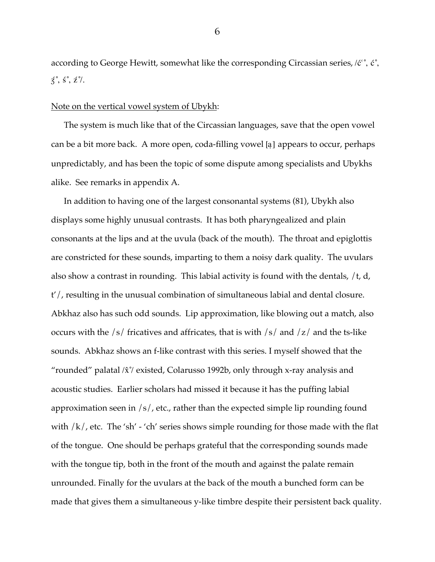according to George Hewitt, somewhat like the corresponding Circassian series,  $\ell \tilde{c}^{\circ}$ ,  $\tilde{c}^{\circ}$ ,  $\acute{z}$ ,  $\acute{s}$ ,  $\acute{z}$ %,

#### Note on the vertical vowel system of Ubykh:

The system is much like that of the Circassian languages, save that the open vowel can be a bit more back. A more open, coda-filling vowel [a] appears to occur, perhaps unpredictably, and has been the topic of some dispute among specialists and Ubykhs alike. See remarks in appendix A.

In addition to having one of the largest consonantal systems (81), Ubykh also displays some highly unusual contrasts. It has both pharyngealized and plain consonants at the lips and at the uvula (back of the mouth). The throat and epiglottis are constricted for these sounds, imparting to them a noisy dark quality. The uvulars also show a contrast in rounding. This labial activity is found with the dentals, /t, d, t'/, resulting in the unusual combination of simultaneous labial and dental closure. Abkhaz also has such odd sounds. Lip approximation, like blowing out a match, also occurs with the  $/s/$  fricatives and affricates, that is with  $/s/$  and  $/z/$  and the ts-like sounds. Abkhaz shows an f-like contrast with this series. I myself showed that the "rounded" palatal  $\langle \hat{x} \rangle$  existed, Colarusso 1992b, only through x-ray analysis and acoustic studies. Earlier scholars had missed it because it has the puffing labial approximation seen in /s/, etc., rather than the expected simple lip rounding found with  $/k$ , etc. The 'sh' - 'ch' series shows simple rounding for those made with the flat of the tongue. One should be perhaps grateful that the corresponding sounds made with the tongue tip, both in the front of the mouth and against the palate remain unrounded. Finally for the uvulars at the back of the mouth a bunched form can be made that gives them a simultaneous y-like timbre despite their persistent back quality.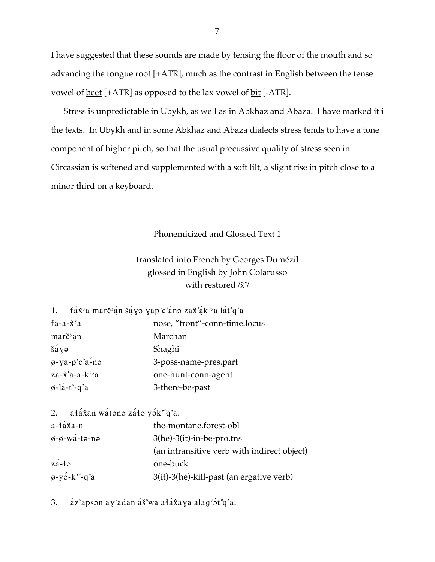I have suggested that these sounds are made by tensing the floor of the mouth and so advancing the tongue root [+ATR], much as the contrast in English between the tense vowel of <u>beet</u> [+ATR] as opposed to the lax vowel of <u>bit</u> [-ATR].

Stress is unpredictable in Ubykh, as well as in Abkhaz and Abaza. I have marked it i the texts. In Ubykh and in some Abkhaz and Abaza dialects stress tends to have a tone component of higher pitch, so that the usual precussive quality of stress seen in Circassian is softened and supplemented with a soft lilt, a slight rise in pitch close to a minor third on a keyboard.

#### Phonemicized and Glossed Text 1

## translated into French by Georges Dumézil glossed in English by John Colarusso with restored  $\langle \hat{x}^{\circ} \rangle$

| fáx <sup>y</sup> a marč <sup>v</sup> án šáyə yap'c'ánə zax°ák''a lát°q'a |  |  |  |  |  |  |  |
|--------------------------------------------------------------------------|--|--|--|--|--|--|--|
|--------------------------------------------------------------------------|--|--|--|--|--|--|--|

| $fa-a-\check{X}^\gamma a$                 | nose, "front"-conn-time.locus |
|-------------------------------------------|-------------------------------|
| marč <sup>y</sup> ąn                      | Marchan                       |
| $\check{\mathrm{s}}$ ayə                  | Shaghi                        |
| $\phi$ -ya-p'c'a-nə                       | 3-poss-name-pres.part         |
| $za - \hat{x}^{\circ}a - a - k^{\prime}a$ | one-hunt-conn-agent           |
| $\varphi$ -la-t°-q'a                      | 3-there-be-past               |

ałá kan wátono záło yók "q'a.  $2.$ 

| $a - \hat{a} \hat{x}$ a-n       | the-montane.forest-obl                      |
|---------------------------------|---------------------------------------------|
| $\phi$ - $\phi$ -wá-tə-nə       | $3$ (he)- $3$ (it)-in-be-pro.tns            |
|                                 | (an intransitive verb with indirect object) |
| $z\acute{a}$ -łə                | one-buck                                    |
| $\phi$ -yə́-k <sup>*</sup> -q'a | 3(it)-3(he)-kill-past (an ergative verb)    |

áz°apson ay°adan áš°wa ałáxaya alag'ót°q'a. 3.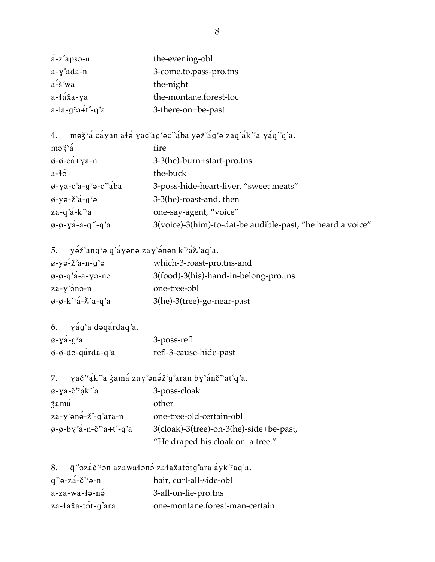| á-z°apsə-n                                   | the-evening-obl        |
|----------------------------------------------|------------------------|
| a-y°ada-n                                    | 3-come.to.pass-pro.tns |
| a-š°wa                                       | the-night              |
| a-łá <del>î</del> a-ya                       | the-montane.forest-loc |
| $a$ -la-g <sup>y</sup> ə+t <sup>o</sup> -q'a | 3-there-on+be-past     |

4. maž<sup>y</sup>á cáyan ałá yac°ag<sup>y</sup>ac'°ába yaž°ág<sup>y</sup>a zaq'ák''a yáq'°q'a.

| $m\partial \xi^y a$                                            | fire                                                       |
|----------------------------------------------------------------|------------------------------------------------------------|
| $\phi$ - $\phi$ -ca+ya-n                                       | 3-3(he)-burn+start-pro.tns                                 |
| $a-12$                                                         | the-buck                                                   |
| $\phi$ -ya-c°a-g <sup>y</sup> $\phi$ -c'°aba                   | 3-poss-hide-heart-liver, "sweet meats"                     |
| $\phi$ -yə-ž°á-g <sup>y</sup> ə                                | 3-3(he)-roast-and, then                                    |
| za-q'á-k''a                                                    | one-say-agent, "voice"                                     |
| $\phi$ - $\phi$ - $\chi$ a <sup>-</sup> a-q <sup>-o</sup> -q'a | 3(voice)-3(him)-to-dat-be.audible-past, "he heard a voice" |

| 5. $y \acute{o} z^{\circ}$ ang' $\acute{o} q$ q' $\acute{q} y$ ənə zay $\acute{o}$ nən k $\acute{q}$ $x$ 'aq'a. |                                       |
|-----------------------------------------------------------------------------------------------------------------|---------------------------------------|
| $\varnothing$ -yə-z $a$ -n-g $\varnothing$                                                                      | which-3-roast-pro.tns-and             |
| $\phi$ - $\phi$ -q'á-a-yə-nə                                                                                    | 3(food)-3(his)-hand-in-belong-pro.tns |
| $za - y \n\infty$ na-n                                                                                          | one-tree-obl                          |
| $\phi$ - $\phi$ - $k$ <sup>3</sup> $\phi$ - $\chi$ <sup>3</sup> $a$ - $q$ <sup>3</sup> $a$                      | 3(he)-3(tree)-go-near-past            |

| 6. $\gamma$ ag <sup>y</sup> a dəqardaq'a. |                        |
|-------------------------------------------|------------------------|
| $\varphi$ -yá-g <sup>y</sup> a            | 3-poss-refl            |
| $\phi$ - $\phi$ -də-qarda-q'a             | refl-3-cause-hide-past |

| 7. yač <sup>3</sup> gk <sup>3</sup> a zama zay°ənəz°g°aran by <sup>y</sup> anč <sup>3</sup> yat°q'a. |                                         |  |
|------------------------------------------------------------------------------------------------------|-----------------------------------------|--|
| $\varphi$ -ya-č''ak'a                                                                                | 3-poss-cloak                            |  |
| zamá                                                                                                 | other                                   |  |
| $za - y$ ° $\Rightarrow a - z$ ° $-g$ ° $ara - n$                                                    | one-tree-old-certain-obl                |  |
| $\phi$ - $\phi$ -by <sup>y</sup> a-n-c <sup>2</sup> y <sub>a+t</sub> <sup>o</sup> -q'a               | 3(cloak)-3(tree)-on-3(he)-side+be-past, |  |
|                                                                                                      | "He draped his cloak on a tree."        |  |

|                                                                              | 8. q <sup>3</sup> azáč <sup>3</sup> an azawałana zała katatg°ara ayk <sup>3</sup> aq'a. |
|------------------------------------------------------------------------------|-----------------------------------------------------------------------------------------|
| $\overline{q}$ " $\partial$ - $z \acute{a}$ - $\check{c}$ " $\partial$ - $n$ | hair, curl-all-side-obl                                                                 |
| $a$ -za-wa-łə-nə                                                             | 3-all-on-lie-pro.tns                                                                    |
| za-łax̂a-tə́t-g°ara                                                          | one-montane.forest-man-certain                                                          |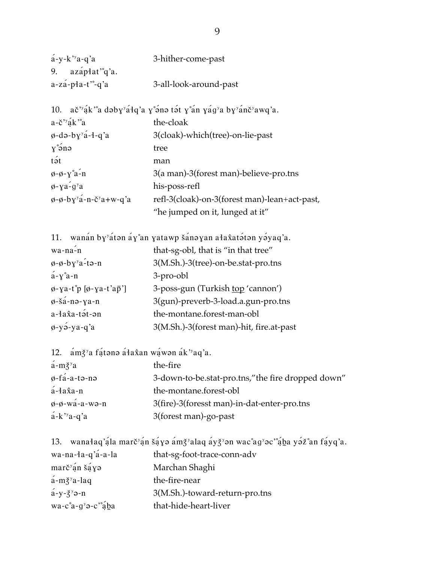| $a-y-k$ <sup>3</sup> $a-q$ <sup>3</sup> $a$ | 3-hither-come-past     |
|---------------------------------------------|------------------------|
| 9. azápłat <sup>o</sup> g'a.                |                        |
| $a-za-p+a-t$ $-a'a$                         | 3-all-look-around-past |

|                                                             | 10. ač <sup>3</sup> ák <sup>3</sup> a daby <sup>3</sup> áłq'a y ana tát y an yág <sup>3</sup> a by <sup>3</sup> ánč <sup>3</sup> awq'a. |
|-------------------------------------------------------------|-----------------------------------------------------------------------------------------------------------------------------------------|
| $a - \check{c}^{\prime y}$ ak'a                             | the-cloak                                                                                                                               |
| $\phi$ -də-by <sup>y</sup> a-1-q'a                          | 3(cloak)-which(tree)-on-lie-past                                                                                                        |
| $\gamma \nightharpoonup$ and                                | tree                                                                                                                                    |
| tət                                                         | man                                                                                                                                     |
| $\phi$ - $\phi$ - $\gamma$ °a-n                             | 3(a man)-3(forest man)-believe-pro.tns                                                                                                  |
| $\phi$ -ya-q <sup>y</sup> a                                 | his-poss-refl                                                                                                                           |
| $\phi$ - $\phi$ -by <sup>y</sup> a-n-c <sup>y</sup> a+w-q'a | refl-3(cloak)-on-3(forest man)-lean+act-past,                                                                                           |
|                                                             | "he jumped on it, lunged at it"                                                                                                         |

|                                                    | 11. wanán by <sup>y</sup> átan áy°an yatawp šánayan ałaxatátan yáyaq'a. |
|----------------------------------------------------|-------------------------------------------------------------------------|
| $wa - na - n$                                      | that-sg-obl, that is "in that tree"                                     |
| $\phi$ - $\phi$ -by <sup>y</sup> a-tə-n            | 3(M.Sh.)-3(tree)-on-be.stat-pro.tns                                     |
| $a - y^{\circ} a - n$                              | 3-pro-obl                                                               |
| $\varphi$ -ya-t°p [ $\varphi$ -ya-t'a $\bar{p}$ '] | 3-poss-gun (Turkish <u>top</u> 'cannon')                                |
| $\phi$ -šá-nə-ya-n                                 | 3(gun)-preverb-3-load.a.gun-pro.tns                                     |
| $a - 4a\hat{x}a - t$ $\acute{a}t$ - $\partial n$   | the-montane.forest-man-obl                                              |
| $\phi$ -yə́-ya-q'a                                 | 3(M.Sh.)-3(forest man)-hit, fire.at-past                                |

|  |  | 12. ámž <sup>y</sup> a fátono áła <i>kan</i> wáwon ák <sup>3</sup> aq'a. |
|--|--|--------------------------------------------------------------------------|
|  |  |                                                                          |

| $a - m \xi^y a$                           | the-fire                                           |
|-------------------------------------------|----------------------------------------------------|
| $\varphi$ -fá-a-tə-nə                     | 3-down-to-be.stat-pro.tns," the fire dropped down" |
| $a$ -ła $\hat{x}$ a-n                     | the-montane.forest-obl                             |
| $\phi$ - $\phi$ -wa-a-wə-n                | 3(fire)-3(foresst man)-in-dat-enter-pro.tns        |
| $a-k$ <sup>2</sup> $a-q$ <sup>2</sup> $a$ | 3(forest man)-go-past                              |

|                                         | 13. wanałaq'ąla marč'ąn šąyo amž'alaq ayž'on wac'ag'oc''ąba yož'an fąyq'a. |
|-----------------------------------------|----------------------------------------------------------------------------|
| wa-na- $a-a$ 'a-a-la                    | that-sg-foot-trace-conn-adv                                                |
| $\arctan \xi$ sáy                       | Marchan Shaghi                                                             |
| $a$ -m $\xi$ <sup>y</sup> a-laq         | the-fire-near                                                              |
| $a - y - \xi^y$ $\partial - n$          | 3(M.Sh.)-toward-return-pro.tns                                             |
| $wa-c^{\circ}a-g^{\circ}a-c^{\circ}aba$ | that-hide-heart-liver                                                      |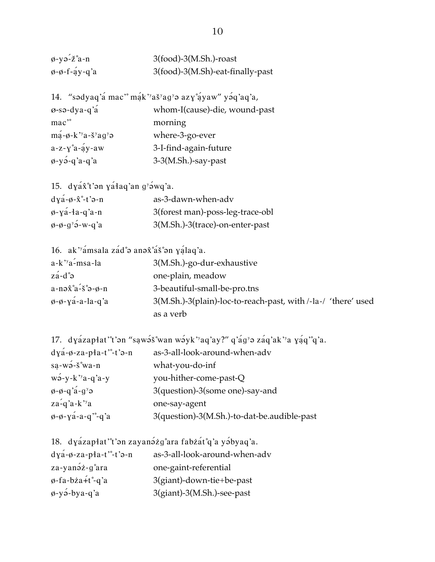| $\varphi$ -yə- $\check{z}$ °a-n             | $3(food)-3(M.sh.)$ -roast        |
|---------------------------------------------|----------------------------------|
| $\varphi$ - $\varphi$ -f- $\acute{a}$ y-q'a | 3(food)-3(M.Sh)-eat-finally-past |

14. "sədyaq'á mac" mák"aš'ag's azy°áyaw" yoq'aq'a, ø-sə-dya-q'a whom-I(cause)-die, wound-past mac<sup>®</sup> morning  $m\acute{a}$ - $\phi$ -k''a-š'ag' $\phi$  where-3-go-ever a-z-y°a-áy-aw 3-I-find-again-future  $\phi$ -yə́-q'a-q'a 3-3(M.Sh.)-say-past

15. dya $\hat{x}$ <sup>t</sup>'an ya<sup>4</sup>aq'an g'awq'a.  $dv$ á-ø- $\hat{x}$ °-t $\hat{a}$ -n as-3-dawn-when-adv

| $QYa-\varphi-X- U\ni-n$               | as-5-gawn-when-agy               |
|---------------------------------------|----------------------------------|
| $\phi$ -ya-ła-q'a-n                   | 3(forest man)-poss-leg-trace-obl |
| $\phi$ - $\phi$ - $g^y$ $\phi$ -w-q'a | 3(M.Sh.)-3(trace)-on-enter-past  |

16. ak"amsala zad°a anax°as°an yalaq'a.

| $a-k$ <sup>2</sup> y <sub>a</sub> -msa-la                            | 3(M.Sh.)-go-dur-exhaustive                                    |
|----------------------------------------------------------------------|---------------------------------------------------------------|
| $z\acute{a}$ -d $\degree$                                            | one-plain, meadow                                             |
| $a-n \partial \hat{x}^{\circ} a - \check{s}^{\circ} a - \varphi - n$ | 3-beautiful-small-be-pro.tns                                  |
| $\phi$ - $\phi$ - $\chi$ a-a-la-q'a                                  | 3(M.Sh.)-3(plain)-loc-to-reach-past, with /-la-/ 'there' used |
|                                                                      | as a verb                                                     |

17. dyázapłat''t'an "sawas wan wayk''aq'ay?" q'ag'a zaq'ak''a yaq''q'a.

| $dya - \phi$ -za-pła-t"-t'a-n                                     | as-3-all-look-around-when-adv               |
|-------------------------------------------------------------------|---------------------------------------------|
| $sa-wo-s'wa-n$                                                    | what-you-do-inf                             |
| $w$ <sup>2</sup> -y-k <sup>2</sup> y <sup>2</sup> -y <sup>2</sup> | you-hither-come-past-Q                      |
| $\phi$ - $\phi$ -q'a-g' $\phi$                                    | 3(question)-3(some one)-say-and             |
| $z$ a-q'a-k''a                                                    | one-say-agent                               |
| $\phi$ - $\phi$ - $\chi$ a-a-q <sup>-o</sup> -q'a                 | 3(question)-3(M.Sh.)-to-dat-be.audible-past |

18. dyázapłat''t'an zayanázg°ara fabzát°q'a yábyaq'a.

| $dya - \phi$ -za-pła-t' <sup>o</sup> -t'a-n | as-3-all-look-around-when-adv |
|---------------------------------------------|-------------------------------|
| za-yanəz-g°ara                              | one-gaint-referential         |
| $\varphi$ -fa-bża+t°-q'a                    | 3(giant)-down-tie+be-past     |
| $\phi$ -yə́-bya-q'a                         | 3(giant)-3(M.Sh.)-see-past    |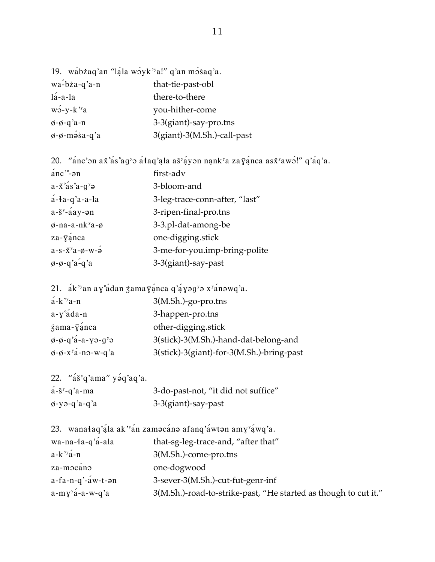| 19. wábżaq'an "ląla wayk'a!" q'an masaq'a. |                             |
|--------------------------------------------|-----------------------------|
| $wa$ -bża-q'a-n                            | that-tie-past-obl           |
| $1a - a - 1a$                              | there-to-there              |
| $w\acute{o}$ -y-k''a                       | you-hither-come             |
| $\phi$ - $\phi$ -q'a-n                     | 3-3(giant)-say-pro.tns      |
| $\phi$ - $\phi$ -məsa-q'a                  | 3(giant)-3(M.Sh.)-call-past |

| 20. "anc'on a $x^{\circ}$ as ag'o ataq'ala as ay ayon nank'a za $\bar{y}$ anca as $x^{\circ}$ awo!" q'aq'a. |                                |  |
|-------------------------------------------------------------------------------------------------------------|--------------------------------|--|
| $\arccos 2$                                                                                                 | first-adv                      |  |
| $a-x^{\circ}$ as $a-g^{\circ}a$                                                                             | 3-bloom-and                    |  |
| $a$ -ła-q'a-a-la                                                                                            | 3-leg-trace-conn-after, "last" |  |
| $a - \check{s}^y - \hat{a}ay - \hat{a}m$                                                                    | 3-ripen-final-pro.tns          |  |
| $\phi$ -na-a-nk <sup>y</sup> a- $\phi$                                                                      | 3-3.pl-dat-among-be            |  |
| $za - \bar{y}$ ánca                                                                                         | one-digging.stick              |  |
| $a-s-x^y a-\varphi-w-\varphi$                                                                               | 3-me-for-you.imp-bring-polite  |  |
| $\phi$ - $\phi$ -q'a-q'a                                                                                    | 3-3(giant)-say-past            |  |

21.  $ak$ <sup>3</sup>an ay adan zama $\bar{y}$ anca q'ayag'a x'anawq'a.

| $a-k$ <sup>3</sup> $a-n$                          | 3(M.Sh.)-go-pro.tns                       |
|---------------------------------------------------|-------------------------------------------|
| $a - y^{\circ}$ áda-n                             | 3-happen-pro.tns                          |
| $\ddot{\mathbf{z}}$ ama- $\ddot{\mathbf{y}}$ anca | other-digging.stick                       |
| $\phi$ - $\phi$ -q'a-a-yə-g'ə                     | 3(stick)-3(M.Sh.)-hand-dat-belong-and     |
| $\phi$ - $\phi$ - $x^y$ á-nə-w-q'a                | 3(stick)-3(giant)-for-3(M.Sh.)-bring-past |

| 22. " $a\check{s}$ <sup>y</sup> q'ama" yaq'aq'a. |                                     |
|--------------------------------------------------|-------------------------------------|
| $a - \xi y - q' a$ -ma                           | 3-do-past-not, "it did not suffice" |
| ø-yə-q'a-q'a                                     | 3-3(giant)-say-past                 |

| 23. wanałaq'ą́la ak' <sup>y</sup> an zaməcanə afanq'áwtən am $\chi^y$ áwq'a. |  |  |                                                   |  |
|------------------------------------------------------------------------------|--|--|---------------------------------------------------|--|
| $w$ a-na-da- $a$ 'á-ala                                                      |  |  | $that_{cor}$ - $for_{error}$ - $and$ "after that" |  |

| wa-na-1a-q a-ala                  | that-sg-leg-trace-and, after that                               |
|-----------------------------------|-----------------------------------------------------------------|
| $a-k$ <sup>3</sup> $a-n$          | 3(M.Sh.)-come-pro.tns                                           |
| za-məcanə                         | one-dogwood                                                     |
| $a-fa-n-q'$ - $a$ w-t- $\theta$ n | 3-sever-3(M.Sh.)-cut-fut-genr-inf                               |
| $a-my^{y}a-a-w-q'a$               | 3(M.Sh.)-road-to-strike-past, "He started as though to cut it." |
|                                   |                                                                 |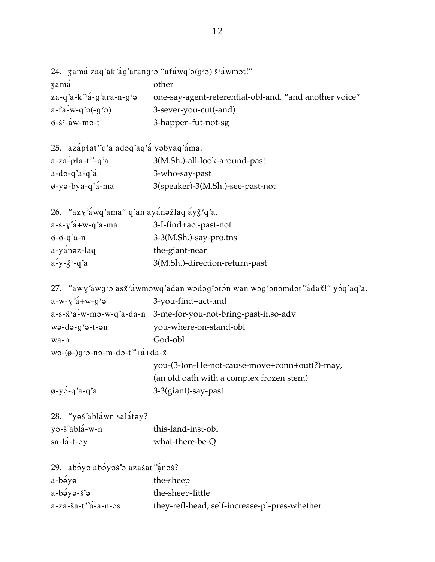|                                                 | 24. $\ddot{z}$ ama zaq'ak'ag°arang' $\ddot{\theta}$ "afawq' $\dot{\theta}$ (g' $\dot{\theta}$ ) š'awm $\dot{\theta}$ t!" |
|-------------------------------------------------|--------------------------------------------------------------------------------------------------------------------------|
| zamá                                            | other                                                                                                                    |
| za-q'a-k' <sup>y</sup> a-g°ara-n-g <sup>y</sup> | one-say-agent-referential-obl-and, "and another voice"                                                                   |
| $a-fa-w-q'g(-g'g)$                              | 3-sever-you-cut(-and)                                                                                                    |
| $\phi$ -š <sup>y</sup> -áw-mə-t                 | 3-happen-fut-not-sg                                                                                                      |

| 25. azápłat <sup>o</sup> g'a adog'ag'a yobyag'ama. |                                  |
|----------------------------------------------------|----------------------------------|
| $a$ -za-pła-t"-q'a                                 | 3(M.Sh.)-all-look-around-past    |
| $a-də-q'a-q'â$                                     | 3-who-say-past                   |
| $\varphi$ -yə-bya-q'a-ma                           | 3(speaker)-3(M.Sh.)-see-past-not |

| 26. "azy°awq'ama" q'an ayanazlaq ay $\xi$ 'q'a. |
|-------------------------------------------------|
| 3-I-find+act-past-not                           |
| 3-3(M.Sh.)-say-pro.tns                          |
| the-giant-near                                  |
| 3(M.Sh.)-direction-return-past                  |
|                                                 |

```
27. "awy°awg'o asx'awmowq'adan wodog'oton wan wog'onomdot'°adax!" yoq'aq'a.
```

| $a-w-y^{\circ}a+w-g^{\circ}a$                            | 3-you-find+act-and                                                         |  |
|----------------------------------------------------------|----------------------------------------------------------------------------|--|
|                                                          | a-s-x <sup>y</sup> a-w-mə-w-q'a-da-n 3-me-for-you-not-bring-past-if.so-adv |  |
| wə-də-g <sup>y</sup> ə-t-ən                              | you-where-on-stand-obl                                                     |  |
| wa-n                                                     | God-obl                                                                    |  |
| $w$ ə- $(\phi$ - $)g^y$ ə-nə-m-də-t $e^+$ - $A + da - X$ |                                                                            |  |
|                                                          | you-(3-)on-He-not-cause-move+conn+out(?)-may,                              |  |
|                                                          | (an old oath with a complex frozen stem)                                   |  |

 $\phi$ -yə́-q'a-q'a

28. "yaš°abláwn salátay?

| yə-š°ablá-w-n | this-land-inst-obl |
|---------------|--------------------|
| sa-lá-t-əy    | what-there-be-Q    |

| 29. abəyə abəyəš°ə azašat'°anəs?                              |                                               |
|---------------------------------------------------------------|-----------------------------------------------|
| a-bəyə                                                        | the-sheep                                     |
| $a-b\acute{\sigma}y\partial - \breve{\delta}^{\circ}\partial$ | the-sheep-little                              |
| a-za-ša-t'°á-a-n-əs                                           | they-refl-head, self-increase-pl-pres-whether |

3-3(giant)-say-past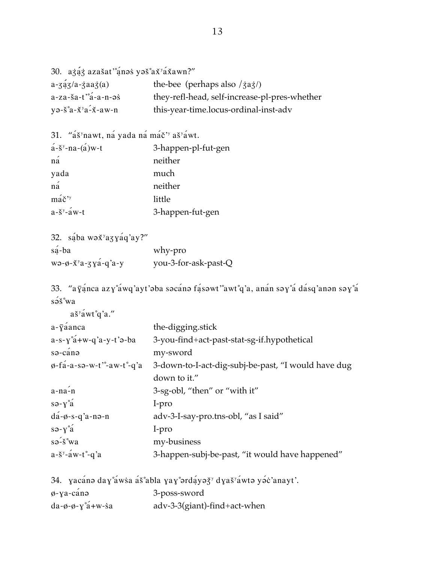```
30. azáz azašat'ánas yaš až ažawn?"
a - 3a/3/a - 3aa/3(a)the-bee (perhaps also /3a3/)a-za-ša-t^{\circ}a-a-n-\varthetas
                                 they-refl-head, self-increase-pl-pres-whether
                                 this-year-time.locus-ordinal-inst-adv
y \rightarrow 8^\circ a - x^\circ a - x - a \cdot w - n
```

```
31. "áš'nawt, ná yada ná máč'' aš'áwt.
a - \xi^y-na-(a)w-t
                            3-happen-pl-fut-gen
```

| na                               | neither          |
|----------------------------------|------------------|
| yada                             | much             |
| ná                               | neither          |
| $m\acute{a}\breve{c}^{\prime y}$ | little           |
| $a-\check{s}^y - a w-t$          | 3-happen-fut-gen |

| 32. są́ba wax <sup>y</sup> azyaq'ay?"                                          |                      |
|--------------------------------------------------------------------------------|----------------------|
| $s\acute{a}$ -ba                                                               | why-pro              |
| $w$ $\theta$ - $x$ <sup><math>y</math></sup> $a$ - $y$ $y$ $a$ - $q$ $a$ - $y$ | you-3-for-ask-past-Q |

33. "ayanca azy°awq'ayt'aba sacana fasawt'awt°q'a, anan say°a dasq'anan say°a sə́š°wa

| aš <sup>y</sup> áwt°q'a."                                     |                                                     |
|---------------------------------------------------------------|-----------------------------------------------------|
| $a-\bar{y}$ anca                                              | the-digging stick                                   |
| $a-s-y$ °a + w - q'a - y - t' $\theta$ - ba                   | 3-you-find+act-past-stat-sg-if.hypothetical         |
| sə-canə                                                       | my-sword                                            |
| $\varphi$ -fa-a-sə-w-t <sup>-o-</sup> aw-t <sup>-o-</sup> q'a | 3-down-to-I-act-dig-subj-be-past, "I would have dug |
|                                                               | down to it."                                        |
| $a - na - n$                                                  | 3-sg-obl, "then" or "with it"                       |
| $s \rightarrow v \hat{a}$                                     | I-pro                                               |
| $d\acute{a}$ - $\emptyset$ -s-q'a-nə-n                        | adv-3-I-say-pro.tns-obl, "as I said"                |
| $s \rightarrow v \hat{a}$                                     | I-pro                                               |
| $s \rightarrow \check{s}$ °wa                                 | my-business                                         |
| $a-\check{S}^y-\check{a}w-t^\circ-q'a$                        | 3-happen-subj-be-past, "it would have happened"     |
|                                                               |                                                     |

|                                                     | 34. vacáne day°áwsa áš°abla vay°erdáyež <sup>y</sup> dyaš <sup>v</sup> áwte yec'anayt'. |
|-----------------------------------------------------|-----------------------------------------------------------------------------------------|
| $\phi$ -ya-canə                                     | 3-poss-sword                                                                            |
| $da - \phi - \phi - \gamma^{\circ}a + w - \dot{s}a$ | adv-3-3(giant)-find+act-when                                                            |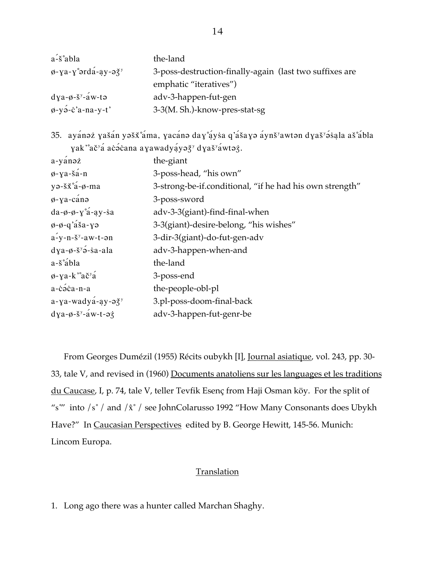| $a^2$ s°abla                                             | the-land                                                |
|----------------------------------------------------------|---------------------------------------------------------|
| $\phi$ -ya-y° $\sigma$ rda-ay- $\sigma \xi$ <sup>y</sup> | 3-poss-destruction-finally-again (last two suffixes are |
|                                                          | emphatic "iteratives")                                  |
| $dy$ a- $\phi$ - $\check{s}$ <sup>y</sup> -aw-tə         | adv-3-happen-fut-gen                                    |
| $\phi$ -yə́-c'a-na-y-t'                                  | 3-3(M. Sh.)-know-pres-stat-sg                           |

35. ayánaz yašán yašž°áma, yacána day°áysa q'ášaya áynš'awtan dyaš'ásala aš°ábla yak "ač"á acócana ayawadyáyož" dyaš"áwtoż.

| $a-y$ ano $\dot{z}$                                           | the-giant                                                |
|---------------------------------------------------------------|----------------------------------------------------------|
| $\phi$ -ya-šá-n                                               | 3-poss-head, "his own"                                   |
| $y \rightarrow \check{s} \check{x} \check{a} - \phi$ -ma      | 3-strong-be-if.conditional, "if he had his own strength" |
| $\phi$ -ya-cánə                                               | 3-poss-sword                                             |
| $da - \phi - \phi - \gamma^2 a - ay - sa$                     | adv-3-3(giant)-find-final-when                           |
| $\phi$ - $\phi$ -q'asa-yə                                     | 3-3(giant)-desire-belong, "his wishes"                   |
| $a-y-n-\xi^y-aw-t$ -an                                        | 3-dir-3(giant)-do-fut-gen-adv                            |
| $dy$ a- $\phi$ - $\check{s}$ <sup>y</sup> $\acute{o}$ -sa-ala | adv-3-happen-when-and                                    |
| $a-\check{s}^{\circ}\acute{a}$ bla                            | the-land                                                 |
| $\phi$ -ya-k'ač <sup>y</sup> á                                | 3-poss-end                                               |
| $a$ -cáca-n-a                                                 | the-people-obl-pl                                        |
| $a$ -ya-wadya-ay- $a\xi^y$                                    | 3.pl-poss-doom-final-back                                |
| $dya-\phi-\check{S}^y-\check{a}w-t-\phi\dot{\zeta}$           | adv-3-happen-fut-genr-be                                 |

From Georges Dumézil (1955) Récits oubykh [I], Journal asiatique, vol. 243, pp. 30-33, tale V, and revised in (1960) Documents anatoliens sur les languages et les traditions du Caucase, I, p. 74, tale V, teller Tevfik Esenç from Haji Osman köy. For the split of "s"' into  $/s \degree$  / and  $/\hat{x} \degree$  / see JohnColarusso 1992 "How Many Consonants does Ubykh Have?" In Caucasian Perspectives edited by B. George Hewitt, 145-56. Munich: Lincom Europa.

#### **Translation**

1. Long ago there was a hunter called Marchan Shaghy.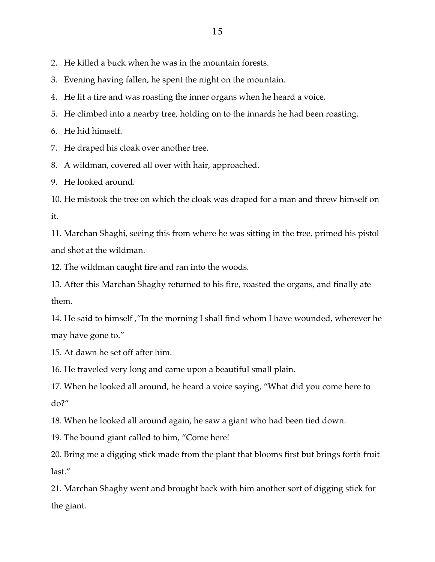2. He killed a buck when he was in the mountain forests.

3. Evening having fallen, he spent the night on the mountain.

4. He lit a fire and was roasting the inner organs when he heard a voice.

5. He climbed into a nearby tree, holding on to the innards he had been roasting.

6. He hid himself.

7. He draped his cloak over another tree.

8. A wildman, covered all over with hair, approached.

9. He looked around.

10. He mistook the tree on which the cloak was draped for a man and threw himself on it.

11. Marchan Shaghi, seeing this from where he was sitting in the tree, primed his pistol and shot at the wildman.

12. The wildman caught fire and ran into the woods.

13. After this Marchan Shaghy returned to his fire, roasted the organs, and finally ate them.

14. He said to himself ,"In the morning I shall find whom I have wounded, wherever he may have gone to."

15. At dawn he set off after him.

16. He traveled very long and came upon a beautiful small plain.

17. When he looked all around, he heard a voice saying, "What did you come here to do?"

18. When he looked all around again, he saw a giant who had been tied down.

19. The bound giant called to him, "Come here!

20. Bring me a digging stick made from the plant that blooms first but brings forth fruit last."

21. Marchan Shaghy went and brought back with him another sort of digging stick for the giant.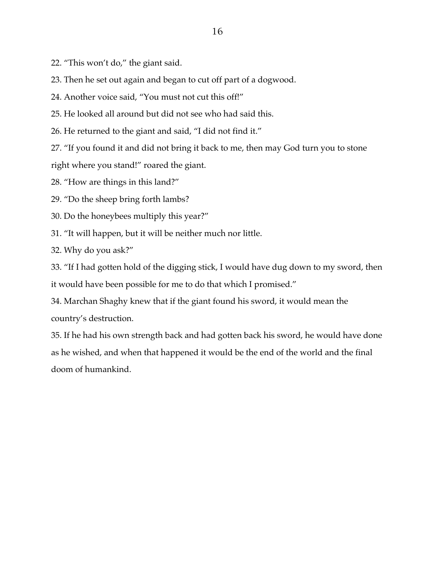- 22. "This won't do," the giant said.
- 23. Then he set out again and began to cut off part of a dogwood.
- 24. Another voice said, "You must not cut this off!"
- 25. He looked all around but did not see who had said this.
- 26. He returned to the giant and said, "I did not find it."
- 27. "If you found it and did not bring it back to me, then may God turn you to stone
- right where you stand!" roared the giant.
- 28. "How are things in this land?"
- 29. "Do the sheep bring forth lambs?
- 30. Do the honeybees multiply this year?"
- 31. "It will happen, but it will be neither much nor little.
- 32. Why do you ask?"
- 33. "If I had gotten hold of the digging stick, I would have dug down to my sword, then it would have been possible for me to do that which I promised."
- 34. Marchan Shaghy knew that if the giant found his sword, it would mean the country's destruction.
- 35. If he had his own strength back and had gotten back his sword, he would have done as he wished, and when that happened it would be the end of the world and the final doom of humankind.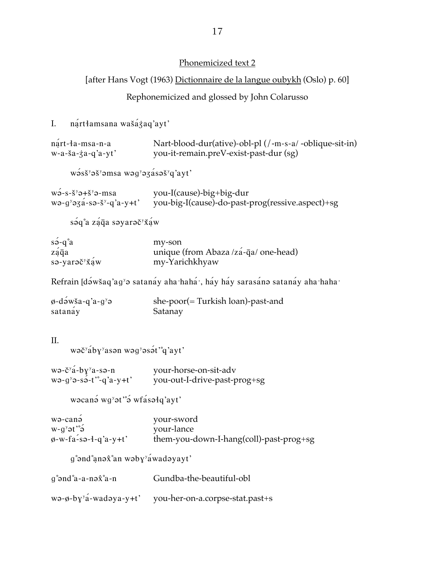### Phonemicized text 2

## [after Hans Vogt (1963) Dictionnaire de la langue oubykh (Oslo) p. 60]

### Rephonemicized and glossed by John Colarusso

# I. nártłamsana wašáżaq'ayt'

| nart-la-msa-n-a           | Nart-blood-dur(ative)-obl-pl (/-m-s-a/-oblique-sit-in) |
|---------------------------|--------------------------------------------------------|
| $w-a-\xi a-\xi a-q'a-yt'$ | you-it-remain.preV-exist-past-dur (sg)                 |

wass<sup>y</sup>as<sup>y</sup>amsa wag'azasas'q'ayt'

| $w\partial - s - \xi^y \partial + \xi^y \partial - \text{msa}$ | you-I(cause)-big+big-dur                         |
|----------------------------------------------------------------|--------------------------------------------------|
| $wə-gyəz a-sə-sy-q' a-y+t'$                                    | you-big-I(cause)-do-past-prog(ressive.aspect)+sg |

 $s$  $a^{\circ}a$  zá $\bar{q}a$  səyarəč $\check{a}x$ 

| $s \rightarrow -q^{\circ} a$                | my-son                                |
|---------------------------------------------|---------------------------------------|
| zaqa                                        | unique (from Abaza /zá-q̄a/ one-head) |
| $sə-yarə \check{c}^y \check{x} \check{a} w$ | my-Yarichkhyaw                        |

Refrain [də́wšaq'ag<sup>y</sup>ə satanay aha·haha·, hay hay sarasanə satanay aha·haha·

| $\phi$ -dəwša-q'a-g <sup>y</sup> ə | she- $poor (= Turkish loan)$ -past-and |
|------------------------------------|----------------------------------------|
| satanay                            | Satanay                                |

#### II.

wəč<sup>y</sup>áby'asən wəg'əsət'<sup>°</sup>q'ayt'

| $w$ ə-č <sup>y</sup> a-b $y^y$ a-sə-n | your-horse-on-sit-adv        |
|---------------------------------------|------------------------------|
| $wə-gyə-sə-t'~q'a-y+t'$               | you-out-I-drive-past-prog+sg |

wacana wg'at'a wfasalq'ayt'

| wə-canə                                     | your-sword                              |
|---------------------------------------------|-----------------------------------------|
| $e^{s}$ and $e^{y}$ o with $e^{y}$          | your-lance                              |
| $\varphi$ -w-fa-sə- $\frac{1}{4}$ -q'a-y+t' | them-you-down-I-hang(coll)-past-prog+sg |

 $g^{\circ}$ ənd $^{\circ}$ anə $\hat{x}^{\circ}$ an wəby $\check{g}$ awadəyayt'

| $q^{\circ}$ and $a$ -a-no $\hat{x}^{\circ}$ a-n | Gundba-the-beautiful-obl        |
|-------------------------------------------------|---------------------------------|
| $wə-φ-by' a-wadəya-y+t'$                        | you-her-on-a.corpse-stat.past+s |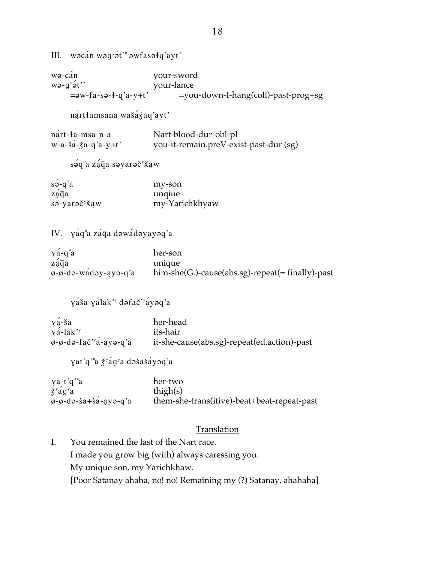III. wacan wag'at' awfasalq'ayt'

wə-can your-sword  $wə-g y o t'$ your-lance  $=$  $w$ - $fa$ - $sa$ - $4$ - $q$ ' $a$ - $y$ + $t$ ' =you-down-I-hang(coll)-past-prog+sg nártłamsana wašáżaq'ayt' nart-la-msa-n-a Nart-blood-dur-obl-pl  $w-a-\xi a-\xi a-q'a-y+t'$ you-it-remain.preV-exist-past-dur (sg) sáq°a záqa səyarəč<sup>y</sup>xaw  $s\acute{o}$ -q $a$ my-son záqa unqiue sə-yarəč<sup>y</sup>xaw my-Yarichkhyaw IV. yáq°a záqa dowádoyayoq'a  $y\acute{a}$ -q $a$ her-son unique ząqa him-she(G.)-cause(abs.sg)-repeat(= finally)-past  $\phi$ - $\phi$ -də-wadəy-ayə-q'a yáša yálak' dafač'áyaq'a  $y\acute{a}$ -ša her-head its-hair  $y$ a<sup>-</sup>lak'<sup>y</sup>  $\phi$ - $\phi$ -də-fač'<sup>y</sup>a-ayə-q'a it-she-cause(abs.sg)-repeat(ed.action)-past yat'q'a ž'ág'a dəsasáyəq'a  $\gamma$ a-t'q'a her-two  $\check{z}$ <sup>y</sup>ag<sup>y</sup>a thigh $(s)$  $\varphi$ - $\varphi$ -də-sa+sa-ayə-q'a them-she-trans(itive)-beat+beat-repeat-past Translation I. You remained the last of the Nart race.

I made you grow big (with) always caressing you. My unique son, my Yarichkhaw. [Poor Satanay ahaha, no! no! Remaining my (?) Satanay, ahahaha]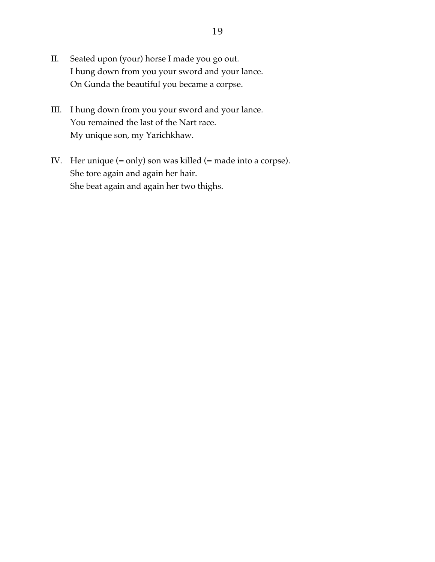- II. Seated upon (your) horse I made you go out. I hung down from you your sword and your lance. On Gunda the beautiful you became a corpse.
- III. I hung down from you your sword and your lance. You remained the last of the Nart race. My unique son, my Yarichkhaw.
- IV. Her unique (= only) son was killed (= made into a corpse). She tore again and again her hair. She beat again and again her two thighs.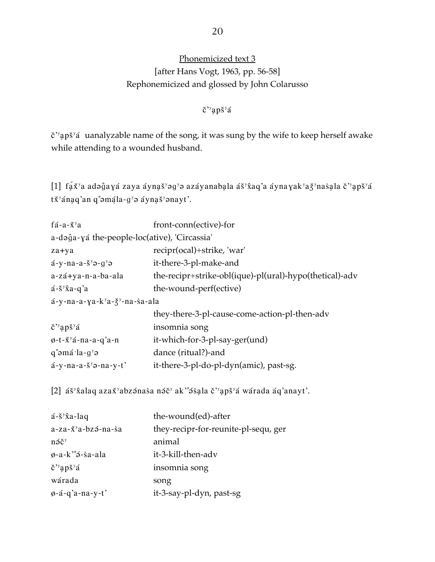# Phonemicized text 3 [after Hans Vogt, 1963, pp. 56-58] Rephonemicized and glossed by John Colarusso

### č"apš"á

č"apš"á uanalyzable name of the song, it was sung by the wife to keep herself awake while attending to a wounded husband.

[1] fa $\check{x}$ 'a adə $\hat{g}$ aya zaya ayna $\check{s}$ 'əg $\check{g}$ ə azayanabala a $\check{s}$ ' $\hat{x}$ aq'a aynayak'a $\check{g}$ 'nasala č''ap $\check{s}$ 'a tx<sup>y</sup>ánaq'an q°əmala-g<sup>y</sup>ə aynaš<sup>y</sup>ənayt'.

| fá-a- $\check{x}$ <sup>y</sup> a                               | front-conn(ective)-for                                  |
|----------------------------------------------------------------|---------------------------------------------------------|
| a-dəĝa-yá the-people-loc(ative), 'Circassia'                   |                                                         |
| za+ya                                                          | recipr(ocal)+strike, 'war'                              |
| $a-y$ -na-a-š <sup>y</sup> $\theta$ -g <sup>y</sup> $\theta$   | it-there-3-pl-make-and                                  |
| a-zá+ya-n-a-ba-ala                                             | the-recipr+strike-obl(ique)-pl(ural)-hypo(thetical)-adv |
| $a - \xi y \hat{x}a - q'a$                                     | the-wound-perf(ective)                                  |
| $a-y$ -na-a-ya-k <sup>y</sup> a- $\xi$ <sup>y</sup> -na-sa-ala |                                                         |
|                                                                | they-there-3-pl-cause-come-action-pl-then-adv           |
| $\zeta$ <sup>'</sup> apš'á                                     | insomnia song                                           |
| $\varphi$ -t- $\check{x}$ <sup>y</sup> á-na-a-q'a-n            | it-which-for-3-pl-say-ger(und)                          |
| $q^{\circ}$ əmá $\cdot$ la-g <sup>y</sup> ə                    | dance (ritual?)-and                                     |
| $a-y$ -na-a- $\frac{8}{9}$ -na-y-t'                            | it-there-3-pl-do-pl-dyn(amic), past-sg.                 |
|                                                                |                                                         |

[2] áš<sup>y</sup>xalaq azax<sup>y</sup>abzənasa nə i ak"əsala c"aps" awarada aq'anayt'.

| $a - \xi y \hat{x}$ a-laq                     | the-wound(ed)-after                  |
|-----------------------------------------------|--------------------------------------|
| $a$ -za- $\check{x}$ <sup>y</sup> a-bzə-na-sa | they-recipr-for-reunite-pl-sequ, ger |
| $n \tilde{\Theta} \check{C}^y$                | animal                               |
| $\varphi$ -a-k' $\varphi$ -sa-ala             | it-3-kill-then-adv                   |
| $\zeta$ <sup>'</sup> 'aps <sup>''</sup> a     | insomnia song                        |
| wárada                                        | song                                 |
| $\varphi$ -á-q'a-na-y-t'                      | it-3-say-pl-dyn, past-sg             |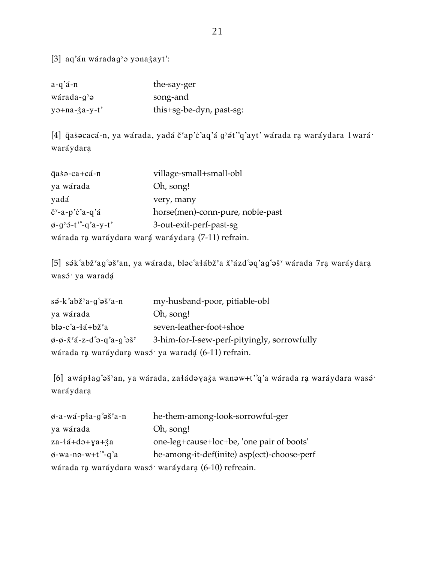[3] aq'án wáradag' yənazayt':

| $a-q'$ á-n                     | the-say-ger              |
|--------------------------------|--------------------------|
| $wárada-gy$                    | song-and                 |
| $y$ ə+na- $\dot{\zeta}$ a-y-t' | this+sg-be-dyn, past-sg: |

[4] qasocacá-n, ya wárada, yadá č'ap'c'aq'á g'ót'°q'ayt' wárada ra waráydara 1wará· waráydara

| qaso-ca+cá-n                                                   | village-small+small-obl          |
|----------------------------------------------------------------|----------------------------------|
| ya wárada                                                      | Oh, song!                        |
| yadá                                                           | very, many                       |
| $\check{c}$ <sup>y</sup> -a-p'c'a-q'á                          | horse(men)-conn-pure, noble-past |
| $\varphi$ -g <sup>y</sup> $\varphi$ -t' <sup>o</sup> -g'a-y-t' | 3-out-exit-perf-past-sg          |
| wárada ra waráydara wará waráydara (7-11) refrain.             |                                  |

[5] sák°abž<sup>y</sup>ag°əš<sup>y</sup>an, ya wárada, bləc°ałábž<sup>y</sup>a x<sup>y</sup>ázd°əq'ag°əš<sup>y</sup> wárada 7ra waráydara wasó<sup>.</sup> ya waradá

| $s\acute{o}$ -k $a\acute{o}z\acute{z}$ <sup>o</sup> a-g $\acute{o}z\acute{z}$ <sup>o</sup> a-n                     | my-husband-poor, pitiable-obl                      |
|--------------------------------------------------------------------------------------------------------------------|----------------------------------------------------|
| ya wárada                                                                                                          | Oh, song!                                          |
| $b$ lə-c°a-łá+bž <sup>y</sup> a                                                                                    | seven-leather-foot+shoe                            |
| $\phi$ - $\phi$ - $\check{X}$ <sup>y</sup> á-z-d $\degree$ ə-q $\check{a}$ -g $\degree$ ə $\check{S}$ <sup>y</sup> | 3-him-for-I-sew-perf-pityingly, sorrowfully        |
|                                                                                                                    | wárada ra waráydara wasó ya waradá (6-11) refrain. |

[6] awápłag°əš'an, ya wárada, załádəyaża wanəw+t"q'a wárada ra waráydara wasé<sup>.</sup> waráydara

| $\varphi$ -a-wá-pła-g° $\varphi$ š <sup>y</sup> a-n | he-them-among-look-sorrowful-ger            |
|-----------------------------------------------------|---------------------------------------------|
| ya wárada                                           | Oh, song!                                   |
| $za-4a+da+ya+za$                                    | one-leg+cause+loc+be, 'one pair of boots'   |
| $\phi$ -wa-nə-w+t $\degree$ -q'a                    | he-among-it-def(inite) asp(ect)-choose-perf |
| wárada ra waráydara wasá waráydara (6-10) refreain. |                                             |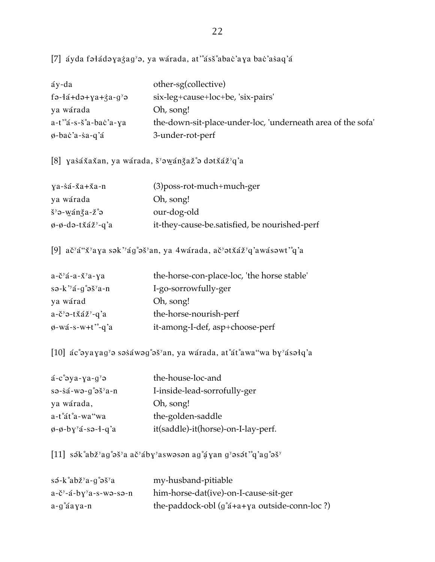[7] áyda fəłádəyazag'ə, ya wárada, at'ass'abac'aya bac'asaq'á

| áy-da                                                                     | other-sg(collective)                                        |
|---------------------------------------------------------------------------|-------------------------------------------------------------|
| $f \rightarrow 4d + d \rightarrow + \gamma a + \zeta a - g^y \rightarrow$ | six-leg+cause+loc+be, 'six-pairs'                           |
| ya wárada                                                                 | Oh, song!                                                   |
| $a-t$ $a-s-s$ $a-bac$ $a-ya$                                              | the-down-sit-place-under-loc, 'underneath area of the sofa' |
| $\phi$ -bac'a-sa-q'á                                                      | 3-under-rot-perf                                            |

[8] yasáxaxan, ya wárada, š'owánžaž°o dotxáž'q'a

| $ya-sá-\breve{x}a+\breve{x}a-n$                             | $(3)$ poss-rot-much+much-ger                  |
|-------------------------------------------------------------|-----------------------------------------------|
| ya wárada                                                   | Oh, song!                                     |
| $\S$ <sup>y</sup> $\theta$ -wán $\S$ a-ž $\degree$ $\theta$ | our-dog-old                                   |
| $\emptyset$ - $\emptyset$ -də-txaz <sup>y</sup> -q'a        | it-they-cause-be.satisfied, be nourished-perf |

[9] ač'á"ž'aya sək''ág°əš'an, ya 4wárada, ač'ətžáž'q'awásəwt'°q'a

| $a-\check{c}^\gamma a-a-\check{X}^\gamma a-\chi a$                                                                     | the-horse-con-place-loc, 'the horse stable' |
|------------------------------------------------------------------------------------------------------------------------|---------------------------------------------|
| $s \rightarrow k$ <sup>3</sup> $\acute{a}$ - $g \acute{a}$ $\acute{e}$ $\acute{e}$ $\acute{e}$ $\acute{e}$ $\acute{e}$ | I-go-sorrowfully-ger                        |
| ya wárad                                                                                                               | Oh, song!                                   |
| $a-\check{c}^y$ $\vartheta$ -tx $\check{a}\check{z}^y$ -q'a                                                            | the-horse-nourish-perf                      |
| $\phi$ -wá-s-w+t <sup>-o</sup> -q'a                                                                                    | it-among-I-def, asp+choose-perf             |
|                                                                                                                        |                                             |

[10] ác°ayayag'a sasáwag°aš'an, ya wárada, at°át°awa"wa by'ásałq'a

| $a-c°$ əya-ya-g <sup>y</sup> ə                                                    | the-house-loc-and                   |
|-----------------------------------------------------------------------------------|-------------------------------------|
| $s \rightarrow s \acute{a}$ -w $\rightarrow g^{\circ} \rightarrow s^{\circ} a$ -n | I-inside-lead-sorrofully-ger        |
| ya wárada,                                                                        | Oh, song!                           |
| a-t°át°a-wa"wa                                                                    | the-golden-saddle                   |
| $\phi$ - $\phi$ -by <sup>y</sup> á-sə-ł-q'a                                       | it(saddle)-it(horse)-on-I-lay-perf. |

[11] sák°abž<sup>y</sup>ag°əš<sup>y</sup>a ač<sup>y</sup>áby<sup>y</sup>aswəsən ag° $\frac{1}{4}$ yan g<sup>y</sup>əsət'°q'ag°əš<sup>y</sup>

| $s\acute{o}$ -k $a\acute{o}z\acute{z}$ <sup>o</sup> a-g $a\acute{o}z\acute{z}$ | my-husband-pitiable                                         |
|--------------------------------------------------------------------------------|-------------------------------------------------------------|
| $a-\tilde{c}^y-\tilde{a}-by^y a-s-wa-sa-n$                                     | him-horse-dat(ive)-on-I-cause-sit-ger                       |
| $a - g^{\circ}$ áaya-n                                                         | the-paddock-obl $(g^{\circ}a + a + ya)$ outside-conn-loc ?) |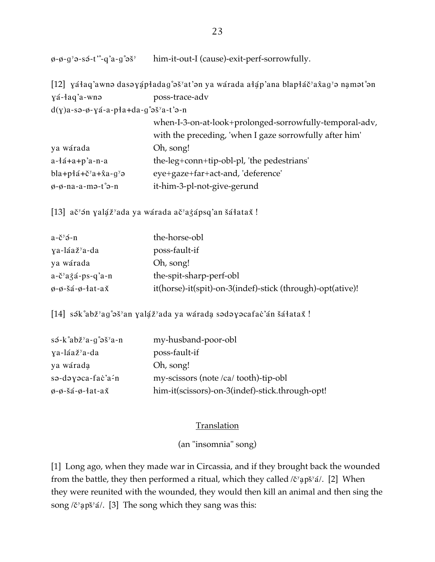him-it-out-I (cause)-exit-perf-sorrowfully.  $\phi$ - $\phi$ -g<sup>y</sup> $\theta$ -sə́-t'<sup>o</sup>-q'a-g<sup>o</sup> $\theta$ š<sup>y</sup>

[12] yáłaq'awnə dasəyápładag°əš<sup>y</sup>at'ən ya wárada ałáp'ana blapłáč<sup>y</sup>ax̂ag<sup>y</sup>ə namət°ən yá-łaq'a-wnə poss-trace-adv  $d(y)$ a-sə-ø-yá-a-p $a+da-af$ a-gəš $a-t$ 

| $\alpha$ and $\beta$ and $\beta$ and $\alpha$ and $\beta$ obtained in |                                                         |  |
|-----------------------------------------------------------------------|---------------------------------------------------------|--|
|                                                                       | when-I-3-on-at-look+prolonged-sorrowfully-temporal-adv, |  |
|                                                                       | with the preceding, 'when I gaze sorrowfully after him' |  |
| ya wárada                                                             | Oh, song!                                               |  |
| $a-4a+ab$ 'a-n-a                                                      | the-leg+conn+tip-obl-pl, 'the pedestrians'              |  |
| $bla + p4\acute{a} + \check{c}^{y}a + \hat{x}a - g^{y}\vartheta$      | eye+gaze+far+act-and, 'deference'                       |  |
| $\phi$ - $\phi$ -na-a-mə-t $\degree$ ə-n                              | it-him-3-pl-not-give-gerund                             |  |

[13] ač<sup>y</sup> sn yaláž<sup>y</sup>ada ya wárada ač<sup>y</sup>ażápsq'an šáłataž!

| $a - \check{c}^y \check{\mathbf{\Theta}} - n$   | the-horse-obl                                              |
|-------------------------------------------------|------------------------------------------------------------|
| ya-láaž <sup>y</sup> a-da                       | poss-fault-if                                              |
| ya wárada                                       | Oh, song!                                                  |
| $a-\check{c}$ <sup>y</sup> $a\dot{a}$ -ps-q'a-n | the-spit-sharp-perf-obl                                    |
| $\varphi$ - $\varphi$ -šá- $\varphi$ -łat-ax    | it(horse)-it(spit)-on-3(indef)-stick (through)-opt(ative)! |

[14] sək°abž<sup>y</sup>ag°əš<sup>y</sup>an yalaz<sup>y</sup>ada ya warada sədəyəcafac'an šatatax!

| $s\acute{o}$ -k $a\acute{o}z\acute{z}$ <sup>o</sup> a-g $a\acute{o}z\acute{z}$ <sup>o</sup> a-n | my-husband-poor-obl                             |
|-------------------------------------------------------------------------------------------------|-------------------------------------------------|
| ya-láaž <sup>y</sup> a-da                                                                       | poss-fault-if                                   |
| ya wárada                                                                                       | Oh, song!                                       |
| $s$ ə-dəyəca-fac'a-n                                                                            | my-scissors (note /ca/ tooth)-tip-obl           |
| $\varphi$ - $\varphi$ -šá- $\varphi$ -łat-až                                                    | him-it(scissors)-on-3(indef)-stick.through-opt! |

#### Translation

(an "insomnia" song)

[1] Long ago, when they made war in Circassia, and if they brought back the wounded from the battle, they then performed a ritual, which they called  $\ell^y$ <sup>x</sup>  $\ell^y$ . [2] When they were reunited with the wounded, they would then kill an animal and then sing the song  $\chi$ <sup>y</sup> apš<sup>y</sup> a'. [3] The song which they sang was this: